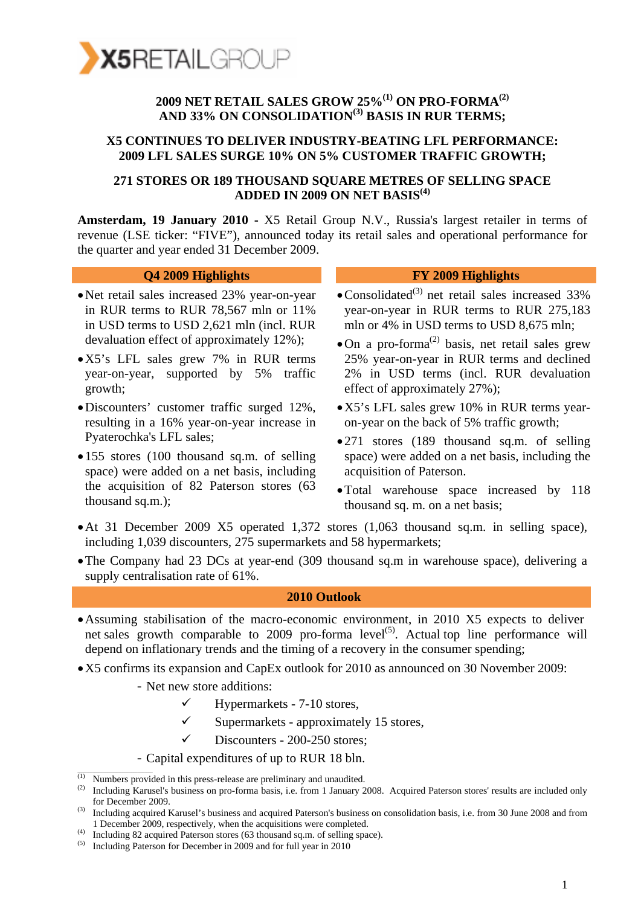

### **2009 NET RETAIL SALES GROW 25%(1) ON PRO-FORMA(2) AND 33% ON CONSOLIDATION(3) BASIS IN RUR TERMS;**

#### **X5 CONTINUES TO DELIVER INDUSTRY-BEATING LFL PERFORMANCE: 2009 LFL SALES SURGE 10% ON 5% CUSTOMER TRAFFIC GROWTH;**

#### **271 STORES OR 189 THOUSAND SQUARE METRES OF SELLING SPACE ADDED IN 2009 ON NET BASIS(4)**

**Amsterdam, 19 January 2010 -** X5 Retail Group N.V., Russia's largest retailer in terms of revenue (LSE ticker: "FIVE"), announced today its retail sales and operational performance for the quarter and year ended 31 December 2009.

#### **Q4 2009 Highlights FY 2009 Highlights**

- •Net retail sales increased 23% year-on-year in RUR terms to RUR 78,567 mln or 11% in USD terms to USD 2,621 mln (incl. RUR devaluation effect of approximately 12%);
- •X5's LFL sales grew 7% in RUR terms year-on-year, supported by 5% traffic growth;
- •Discounters' customer traffic surged 12%, resulting in a 16% year-on-year increase in Pyaterochka's LFL sales;
- 155 stores (100 thousand sq.m. of selling space) were added on a net basis, including the acquisition of 82 Paterson stores (63 thousand sq.m.);

- Consolidated<sup>(3)</sup> net retail sales increased  $33\%$ year-on-year in RUR terms to RUR 275,183 mln or 4% in USD terms to USD 8,675 mln;
- $\bullet$  On a pro-forma<sup>(2)</sup> basis, net retail sales grew 25% year-on-year in RUR terms and declined 2% in USD terms (incl. RUR devaluation effect of approximately 27%);
- •X5's LFL sales grew 10% in RUR terms yearon-year on the back of 5% traffic growth;
- 271 stores (189 thousand sq.m. of selling space) were added on a net basis, including the acquisition of Paterson.
- •Total warehouse space increased by 118 thousand sq. m. on a net basis;
- •At 31 December 2009 X5 operated 1,372 stores (1,063 thousand sq.m. in selling space), including 1,039 discounters, 275 supermarkets and 58 hypermarkets;
- •The Company had 23 DCs at year-end (309 thousand sq.m in warehouse space), delivering a supply centralisation rate of 61%.

#### **2010 Outlook**

- •Assuming stabilisation of the macro-economic environment, in 2010 X5 expects to deliver net sales growth comparable to 2009 pro-forma  $level^{(5)}$ . Actual top line performance will depend on inflationary trends and the timing of a recovery in the consumer spending;
- •X5 confirms its expansion and CapEx outlook for 2010 as announced on 30 November 2009:
	- Net new store additions:
		- $\checkmark$  Hypermarkets 7-10 stores,
		- $\checkmark$  Supermarkets approximately 15 stores,
		- Discounters 200-250 stores;
	- Capital expenditures of up to RUR 18 bln.

(4) Including 82 acquired Paterson stores (63 thousand sq.m. of selling space).

Numbers provided in this press-release are preliminary and unaudited.

<sup>&</sup>lt;sup>(2)</sup> Including Karusel's business on pro-forma basis, i.e. from 1 January 2008. Acquired Paterson stores' results are included only for December 2009.

<sup>(3)</sup> Including acquired Karusel's business and acquired Paterson's business on consolidation basis, i.e. from 30 June 2008 and from 1 December 2009, respectively, when the acquisitions were completed.

 $(5)$  Including Paterson for December in 2009 and for full year in 2010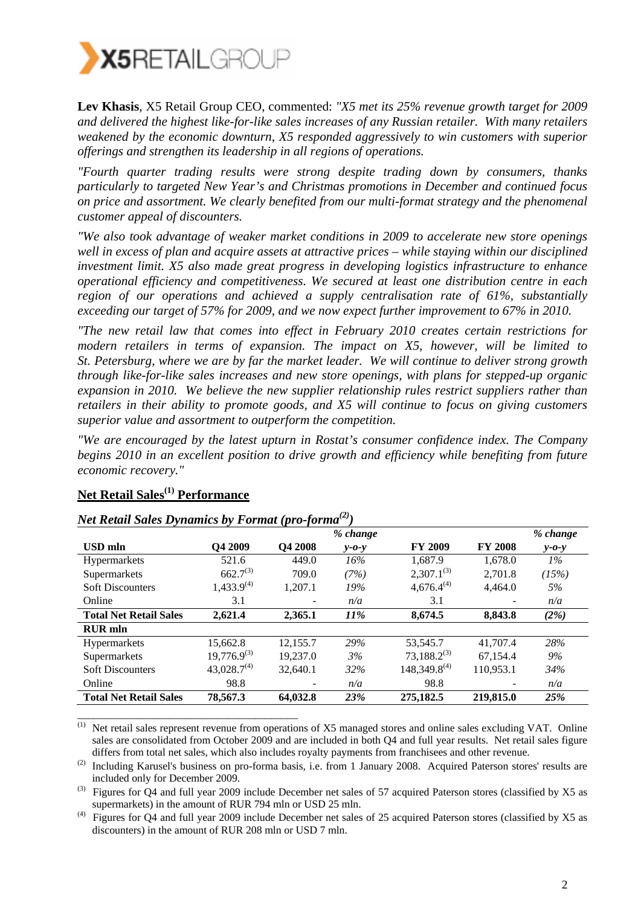

**Lev Khasis**, X5 Retail Group CEO, commented: *"X5 met its 25% revenue growth target for 2009 and delivered the highest like-for-like sales increases of any Russian retailer. With many retailers weakened by the economic downturn, X5 responded aggressively to win customers with superior offerings and strengthen its leadership in all regions of operations.* 

*"Fourth quarter trading results were strong despite trading down by consumers, thanks particularly to targeted New Year's and Christmas promotions in December and continued focus on price and assortment. We clearly benefited from our multi-format strategy and the phenomenal customer appeal of discounters.* 

*"We also took advantage of weaker market conditions in 2009 to accelerate new store openings well in excess of plan and acquire assets at attractive prices – while staying within our disciplined investment limit. X5 also made great progress in developing logistics infrastructure to enhance operational efficiency and competitiveness. We secured at least one distribution centre in each region of our operations and achieved a supply centralisation rate of 61%, substantially exceeding our target of 57% for 2009, and we now expect further improvement to 67% in 2010.* 

*"The new retail law that comes into effect in February 2010 creates certain restrictions for modern retailers in terms of expansion. The impact on X5, however, will be limited to St. Petersburg, where we are by far the market leader. We will continue to deliver strong growth through like-for-like sales increases and new store openings, with plans for stepped-up organic expansion in 2010. We believe the new supplier relationship rules restrict suppliers rather than retailers in their ability to promote goods, and X5 will continue to focus on giving customers superior value and assortment to outperform the competition.* 

*"We are encouraged by the latest upturn in Rostat's consumer confidence index. The Company begins 2010 in an excellent position to drive growth and efficiency while benefiting from future economic recovery."* 

|                               |                  |                | % change    |                   |                | % change    |
|-------------------------------|------------------|----------------|-------------|-------------------|----------------|-------------|
| <b>USD</b> mln                | O4 2009          | <b>O4 2008</b> | $v$ -0- $v$ | <b>FY 2009</b>    | <b>FY 2008</b> | $y - 0 - y$ |
| <b>Hypermarkets</b>           | 521.6            | 449.0          | 16%         | 1.687.9           | 1.678.0        | $1\%$       |
| Supermarkets                  | $662.7^{(3)}$    | 709.0          | (7%)        | $2,307.1^{(3)}$   | 2.701.8        | (15%)       |
| <b>Soft Discounters</b>       | $1,433.9^{(4)}$  | 1,207.1        | 19%         | $4,676.4^{(4)}$   | 4,464.0        | 5%          |
| Online                        | 3.1              |                | n/a         | 3.1               |                | n/a         |
| <b>Total Net Retail Sales</b> | 2,621.4          | 2.365.1        | <i>11%</i>  | 8.674.5           | 8,843.8        | (2%)        |
| <b>RUR</b> mln                |                  |                |             |                   |                |             |
| <b>Hypermarkets</b>           | 15.662.8         | 12.155.7       | 29%         | 53.545.7          | 41,707.4       | 28%         |
| Supermarkets                  | $19,776.9^{(3)}$ | 19.237.0       | 3%          | $73,188.2^{(3)}$  | 67.154.4       | 9%          |
| <b>Soft Discounters</b>       | $43,028.7^{(4)}$ | 32,640.1       | 32%         | $148,349.8^{(4)}$ | 110.953.1      | 34%         |
| Online                        | 98.8             |                | n/a         | 98.8              |                | n/a         |
| <b>Total Net Retail Sales</b> | 78,567.3         | 64,032.8       | 23%         | 275,182.5         | 219,815.0      | 25%         |

### **Net Retail Sales(1) Performance**

*Net Retail Sales Dynamics by Format (pro-forma(2))* 

 $\overline{^{(1)}}$  Net retail sales represent revenue from operations of X5 managed stores and online sales excluding VAT. Online sales are consolidated from October 2009 and are included in both Q4 and full year results. Net retail sales figure differs from total net sales, which also includes royalty payments from franchisees and other revenue.

<sup>(2)</sup> Including Karusel's business on pro-forma basis, i.e. from 1 January 2008. Acquired Paterson stores' results are included only for December 2009.

 $^{(3)}$  Figures for Q4 and full year 2009 include December net sales of 57 acquired Paterson stores (classified by X5 as supermarkets) in the amount of RUR 794 mln or USD 25 mln.

Figures for Q4 and full year 2009 include December net sales of 25 acquired Paterson stores (classified by X5 as discounters) in the amount of RUR 208 mln or USD 7 mln.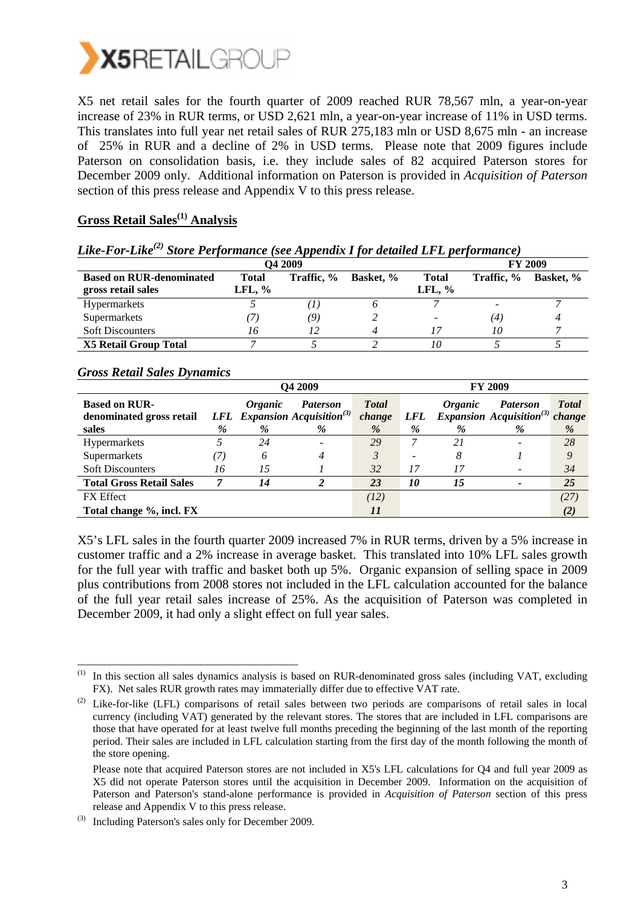

X5 net retail sales for the fourth quarter of 2009 reached RUR 78,567 mln, a year-on-year increase of 23% in RUR terms, or USD 2,621 mln, a year-on-year increase of 11% in USD terms. This translates into full year net retail sales of RUR 275,183 mln or USD 8,675 mln - an increase of 25% in RUR and a decline of 2% in USD terms. Please note that 2009 figures include Paterson on consolidation basis, i.e. they include sales of 82 acquired Paterson stores for December 2009 only. Additional information on Paterson is provided in *Acquisition of Paterson*  section of this press release and Appendix V to this press release.

### **Gross Retail Sales(1) Analysis**

|                                                       |                           | <b>O4 2009</b> |                  |                          |                   | <b>FY 2009</b> |
|-------------------------------------------------------|---------------------------|----------------|------------------|--------------------------|-------------------|----------------|
| <b>Based on RUR-denominated</b><br>gross retail sales | <b>Total</b><br>LFL, $\%$ | Traffic, %     | <b>Basket, %</b> | <b>Total</b><br>LFL, $%$ | Traffic, %        | Basket, %      |
| <b>Hypermarkets</b>                                   |                           | 1              |                  |                          |                   |                |
| Supermarkets                                          |                           | (9)            |                  |                          | $\left( 4\right)$ |                |
| <b>Soft Discounters</b>                               | 70                        |                |                  |                          | 10                |                |
| <b>X5 Retail Group Total</b>                          |                           |                |                  | 10                       |                   |                |

#### *Like-For-Like(2) Store Performance (see Appendix I for detailed LFL performance)*

#### *Gross Retail Sales Dynamics*

|                                                           |    |                            | Q4 2009                                                                 |                             | <b>FY 2009</b>  |                            |                                                                     |                   |
|-----------------------------------------------------------|----|----------------------------|-------------------------------------------------------------------------|-----------------------------|-----------------|----------------------------|---------------------------------------------------------------------|-------------------|
| <b>Based on RUR-</b><br>denominated gross retail<br>sales | %  | <i><b>Organic</b></i><br>% | <b>Paterson</b><br><b>LFL</b> Expansion Acquisition <sup>(3)</sup><br>% | <b>Total</b><br>change<br>% | <i>LFL</i><br>% | <i><b>Organic</b></i><br>% | <b>Paterson</b><br>Expansion Acquisition <sup>(3)</sup> change<br>% | <b>Total</b><br>% |
| <b>Hypermarkets</b>                                       |    | 24                         |                                                                         | 29                          |                 | 21                         |                                                                     | 28                |
| Supermarkets                                              | 7. | 6                          |                                                                         | 3                           | -               | 8                          |                                                                     | Q                 |
| <b>Soft Discounters</b>                                   | 16 | 15                         |                                                                         | 32                          | 17              | 17                         |                                                                     | 34                |
| <b>Total Gross Retail Sales</b>                           |    | 14                         |                                                                         | 23                          | <i>10</i>       | 15                         | -                                                                   | 25                |
| <b>FX</b> Effect                                          |    |                            |                                                                         | (12)                        |                 |                            |                                                                     | (27)              |
| Total change %, incl. FX                                  |    |                            |                                                                         | 11                          |                 |                            |                                                                     | (2)               |

X5's LFL sales in the fourth quarter 2009 increased 7% in RUR terms, driven by a 5% increase in customer traffic and a 2% increase in average basket. This translated into 10% LFL sales growth for the full year with traffic and basket both up 5%. Organic expansion of selling space in 2009 plus contributions from 2008 stores not included in the LFL calculation accounted for the balance of the full year retail sales increase of 25%. As the acquisition of Paterson was completed in December 2009, it had only a slight effect on full year sales.

\_\_\_\_\_\_\_\_\_\_\_\_\_\_\_\_\_\_\_\_\_\_\_\_\_\_\_\_\_\_\_\_\_\_\_\_\_\_\_\_\_

<sup>(1)</sup> In this section all sales dynamics analysis is based on RUR-denominated gross sales (including VAT, excluding FX). Net sales RUR growth rates may immaterially differ due to effective VAT rate.

<sup>&</sup>lt;sup>(2)</sup> Like-for-like (LFL) comparisons of retail sales between two periods are comparisons of retail sales in local currency (including VAT) generated by the relevant stores. The stores that are included in LFL comparisons are those that have operated for at least twelve full months preceding the beginning of the last month of the reporting period. Their sales are included in LFL calculation starting from the first day of the month following the month of the store opening.

Please note that acquired Paterson stores are not included in X5's LFL calculations for Q4 and full year 2009 as X5 did not operate Paterson stores until the acquisition in December 2009. Information on the acquisition of Paterson and Paterson's stand-alone performance is provided in *Acquisition of Paterson* section of this press release and Appendix V to this press release.

Including Paterson's sales only for December 2009.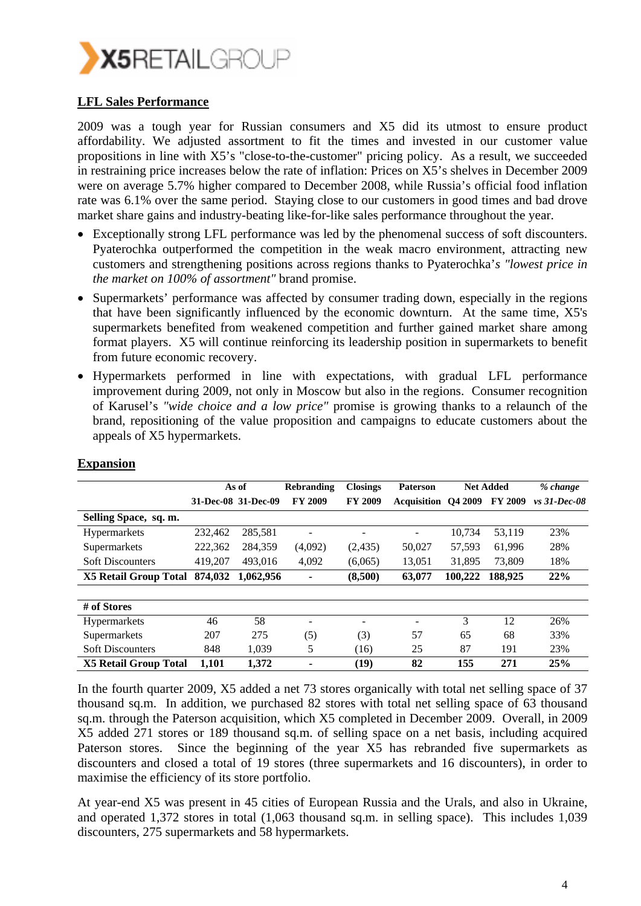

#### **LFL Sales Performance**

2009 was a tough year for Russian consumers and X5 did its utmost to ensure product affordability. We adjusted assortment to fit the times and invested in our customer value propositions in line with X5's "close-to-the-customer" pricing policy. As a result, we succeeded in restraining price increases below the rate of inflation: Prices on X5's shelves in December 2009 were on average 5.7% higher compared to December 2008, while Russia's official food inflation rate was 6.1% over the same period. Staying close to our customers in good times and bad drove market share gains and industry-beating like-for-like sales performance throughout the year.

- Exceptionally strong LFL performance was led by the phenomenal success of soft discounters. Pyaterochka outperformed the competition in the weak macro environment, attracting new customers and strengthening positions across regions thanks to Pyaterochka'*s "lowest price in the market on 100% of assortment"* brand promise.
- Supermarkets' performance was affected by consumer trading down, especially in the regions that have been significantly influenced by the economic downturn. At the same time, X5's supermarkets benefited from weakened competition and further gained market share among format players. X5 will continue reinforcing its leadership position in supermarkets to benefit from future economic recovery.
- Hypermarkets performed in line with expectations, with gradual LFL performance improvement during 2009, not only in Moscow but also in the regions. Consumer recognition of Karusel's *"wide choice and a low price"* promise is growing thanks to a relaunch of the brand, repositioning of the value proposition and campaigns to educate customers about the appeals of X5 hypermarkets.

|                              |         | As of               | <b>Rebranding</b> | <b>Closings</b> | <b>Paterson</b>            | <b>Net Added</b> |                | % change       |
|------------------------------|---------|---------------------|-------------------|-----------------|----------------------------|------------------|----------------|----------------|
|                              |         | 31-Dec-08 31-Dec-09 | <b>FY 2009</b>    | <b>FY 2009</b>  | <b>Acquisition</b> Q4 2009 |                  | <b>FY 2009</b> | $vs$ 31-Dec-08 |
| Selling Space, sq. m.        |         |                     |                   |                 |                            |                  |                |                |
| <b>Hypermarkets</b>          | 232,462 | 285,581             |                   |                 |                            | 10.734           | 53,119         | 23%            |
| Supermarkets                 | 222,362 | 284,359             | (4,092)           | (2, 435)        | 50,027                     | 57,593           | 61,996         | 28%            |
| <b>Soft Discounters</b>      | 419.207 | 493,016             | 4,092             | (6,065)         | 13.051                     | 31,895           | 73,809         | 18%            |
| <b>X5 Retail Group Total</b> | 874.032 | 1,062,956           |                   | (8,500)         | 63,077                     | 100.222          | 188,925        | 22%            |
|                              |         |                     |                   |                 |                            |                  |                |                |
| # of Stores                  |         |                     |                   |                 |                            |                  |                |                |
| <b>Hypermarkets</b>          | 46      | 58                  |                   |                 | $\qquad \qquad$            | 3                | 12             | 26%            |
| Supermarkets                 | 207     | 275                 | (5)               | (3)             | 57                         | 65               | 68             | 33%            |
| <b>Soft Discounters</b>      | 848     | 1.039               | 5                 | (16)            | 25                         | 87               | 191            | 23%            |
| <b>X5 Retail Group Total</b> | 1,101   | 1,372               | ۰                 | (19)            | 82                         | 155              | 271            | 25%            |

#### **Expansion**

In the fourth quarter 2009, X5 added a net 73 stores organically with total net selling space of 37 thousand sq.m. In addition, we purchased 82 stores with total net selling space of 63 thousand sq.m. through the Paterson acquisition, which X5 completed in December 2009. Overall, in 2009 X5 added 271 stores or 189 thousand sq.m. of selling space on a net basis, including acquired Paterson stores. Since the beginning of the year X5 has rebranded five supermarkets as discounters and closed a total of 19 stores (three supermarkets and 16 discounters), in order to maximise the efficiency of its store portfolio.

At year-end X5 was present in 45 cities of European Russia and the Urals, and also in Ukraine, and operated 1,372 stores in total (1,063 thousand sq.m. in selling space). This includes 1,039 discounters, 275 supermarkets and 58 hypermarkets.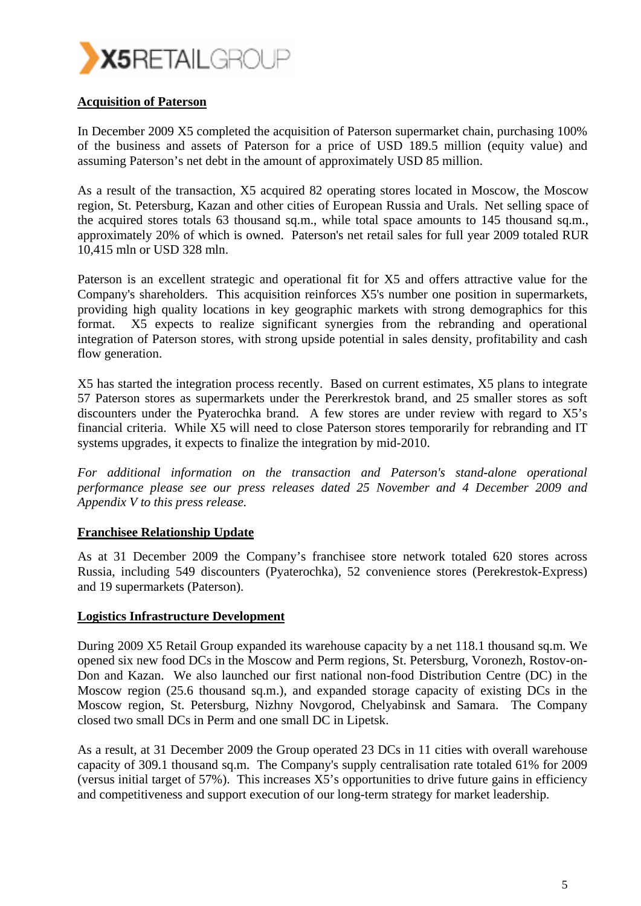

#### **Acquisition of Paterson**

In December 2009 X5 completed the acquisition of Paterson supermarket chain, purchasing 100% of the business and assets of Paterson for a price of USD 189.5 million (equity value) and assuming Paterson's net debt in the amount of approximately USD 85 million.

As a result of the transaction, X5 acquired 82 operating stores located in Moscow, the Moscow region, St. Petersburg, Kazan and other cities of European Russia and Urals. Net selling space of the acquired stores totals 63 thousand sq.m., while total space amounts to 145 thousand sq.m., approximately 20% of which is owned. Paterson's net retail sales for full year 2009 totaled RUR 10,415 mln or USD 328 mln.

Paterson is an excellent strategic and operational fit for X5 and offers attractive value for the Company's shareholders. This acquisition reinforces X5's number one position in supermarkets, providing high quality locations in key geographic markets with strong demographics for this format. X5 expects to realize significant synergies from the rebranding and operational integration of Paterson stores, with strong upside potential in sales density, profitability and cash flow generation.

X5 has started the integration process recently. Based on current estimates, X5 plans to integrate 57 Paterson stores as supermarkets under the Pererkrestok brand, and 25 smaller stores as soft discounters under the Pyaterochka brand. A few stores are under review with regard to X5's financial criteria. While X5 will need to close Paterson stores temporarily for rebranding and IT systems upgrades, it expects to finalize the integration by mid-2010.

*For additional information on the transaction and Paterson's stand-alone operational performance please see our press releases dated 25 November and 4 December 2009 and Appendix V to this press release.* 

#### **Franchisee Relationship Update**

As at 31 December 2009 the Company's franchisee store network totaled 620 stores across Russia, including 549 discounters (Pyaterochka), 52 convenience stores (Perekrestok-Express) and 19 supermarkets (Paterson).

#### **Logistics Infrastructure Development**

During 2009 X5 Retail Group expanded its warehouse capacity by a net 118.1 thousand sq.m. We opened six new food DCs in the Moscow and Perm regions, St. Petersburg, Voronezh, Rostov-on-Don and Kazan. We also launched our first national non-food Distribution Centre (DC) in the Moscow region (25.6 thousand sq.m.), and expanded storage capacity of existing DCs in the Moscow region, St. Petersburg, Nizhny Novgorod, Chelyabinsk and Samara. The Company closed two small DCs in Perm and one small DC in Lipetsk.

As a result, at 31 December 2009 the Group operated 23 DCs in 11 cities with overall warehouse capacity of 309.1 thousand sq.m. The Company's supply centralisation rate totaled 61% for 2009 (versus initial target of 57%). This increases X5's opportunities to drive future gains in efficiency and competitiveness and support execution of our long-term strategy for market leadership.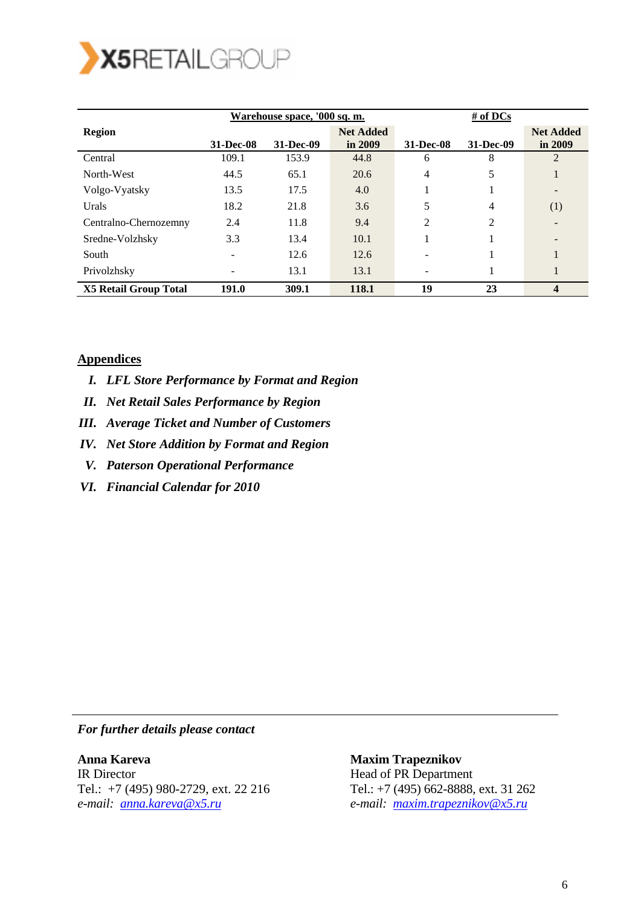

|                              |           | Warehouse space, '000 sq. m. |                             | # of DCs  |                |                             |  |
|------------------------------|-----------|------------------------------|-----------------------------|-----------|----------------|-----------------------------|--|
| <b>Region</b>                | 31-Dec-08 | 31-Dec-09                    | <b>Net Added</b><br>in 2009 | 31-Dec-08 | 31-Dec-09      | <b>Net Added</b><br>in 2009 |  |
| Central                      | 109.1     | 153.9                        | 44.8                        | 6         | 8              | 2                           |  |
| North-West                   | 44.5      | 65.1                         | 20.6                        | 4         | 5              |                             |  |
| Volgo-Vyatsky                | 13.5      | 17.5                         | 4.0                         |           |                |                             |  |
| Urals                        | 18.2      | 21.8                         | 3.6                         | 5         | 4              | (1)                         |  |
| Centralno-Chernozemny        | 2.4       | 11.8                         | 9.4                         | 2         | $\overline{2}$ |                             |  |
| Sredne-Volzhsky              | 3.3       | 13.4                         | 10.1                        |           |                |                             |  |
| South                        |           | 12.6                         | 12.6                        |           |                |                             |  |
| Privolzhsky                  |           | 13.1                         | 13.1                        |           |                |                             |  |
| <b>X5 Retail Group Total</b> | 191.0     | 309.1                        | 118.1                       | 19        | 23             | $\overline{\mathbf{4}}$     |  |

#### **Appendices**

- *I. LFL Store Performance by Format and Region*
- *II. Net Retail Sales Performance by Region*
- *III. Average Ticket and Number of Customers*
- *IV. Net Store Addition by Format and Region*
- *V. Paterson Operational Performance*
- *VI. Financial Calendar for 2010*

*For further details please contact* 

**Anna Kareva**  IR Director Tel.: +7 (495) 980-2729, ext. 22 216 *e-mail: anna.kareva@x5.ru*

 **Maxim Trapeznikov**  Head of PR Department Tel.: +7 (495) 662-8888, ext. 31 262 *e-mail: maxim.trapeznikov@x5.ru*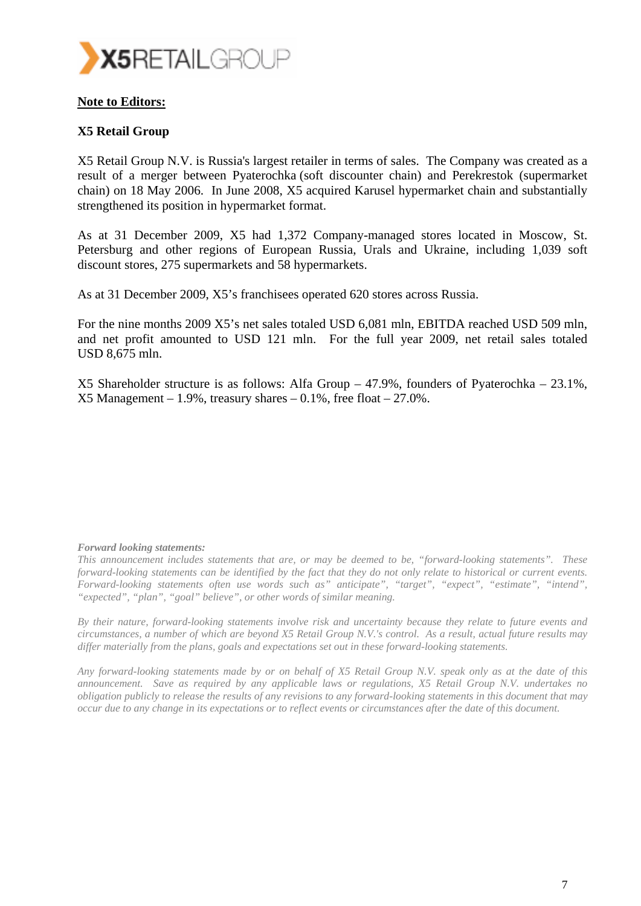

#### **Note to Editors:**

#### **X5 Retail Group**

X5 Retail Group N.V. is Russia's largest retailer in terms of sales. The Company was created as a result of a merger between Pyaterochka (soft discounter chain) and Perekrestok (supermarket chain) on 18 May 2006. In June 2008, X5 acquired Karusel hypermarket chain and substantially strengthened its position in hypermarket format.

As at 31 December 2009, X5 had 1,372 Company-managed stores located in Moscow, St. Petersburg and other regions of European Russia, Urals and Ukraine, including 1,039 soft discount stores, 275 supermarkets and 58 hypermarkets.

As at 31 December 2009, X5's franchisees operated 620 stores across Russia.

For the nine months 2009 X5's net sales totaled USD 6,081 mln, EBITDA reached USD 509 mln, and net profit amounted to USD 121 mln. For the full year 2009, net retail sales totaled USD 8,675 mln.

X5 Shareholder structure is as follows: Alfa Group – 47.9%, founders of Pyaterochka – 23.1%,  $X5$  Management – 1.9%, treasury shares – 0.1%, free float – 27.0%.

#### *Forward looking statements:*

*This announcement includes statements that are, or may be deemed to be, "forward-looking statements". These forward-looking statements can be identified by the fact that they do not only relate to historical or current events. Forward-looking statements often use words such as" anticipate", "target", "expect", "estimate", "intend", "expected", "plan", "goal" believe", or other words of similar meaning.* 

*By their nature, forward-looking statements involve risk and uncertainty because they relate to future events and circumstances, a number of which are beyond X5 Retail Group N.V.'s control. As a result, actual future results may differ materially from the plans, goals and expectations set out in these forward-looking statements.* 

*Any forward-looking statements made by or on behalf of X5 Retail Group N.V. speak only as at the date of this announcement. Save as required by any applicable laws or regulations, X5 Retail Group N.V. undertakes no obligation publicly to release the results of any revisions to any forward-looking statements in this document that may occur due to any change in its expectations or to reflect events or circumstances after the date of this document.*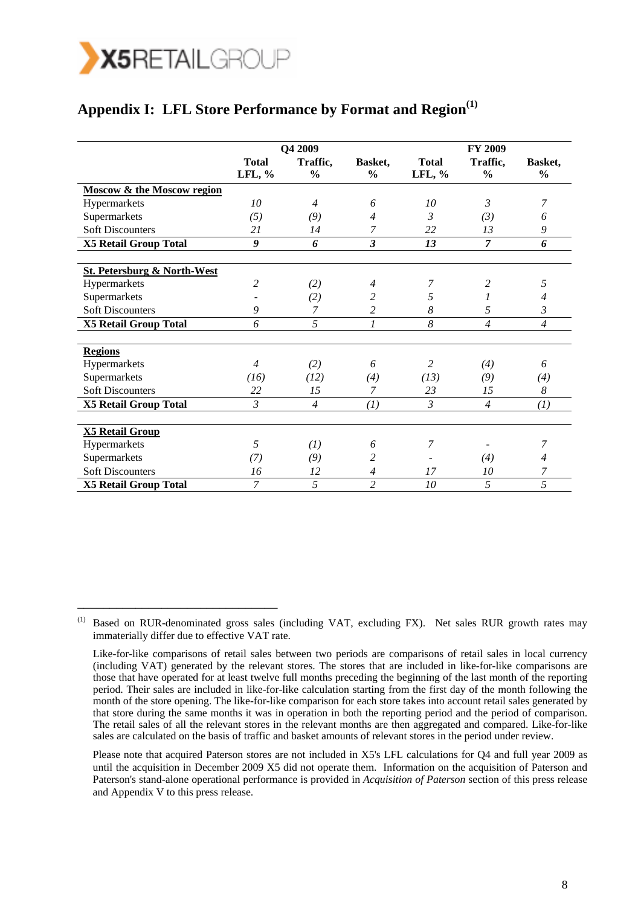

\_\_\_\_\_\_\_\_\_\_\_\_\_\_\_\_\_\_\_\_\_\_\_\_\_\_\_\_\_\_\_

### Appendix I: LFL Store Performance by Format and Region<sup>(1)</sup>

|                                        |                           | Q4 2009                   |                          |                        | FY 2009                   |                          |
|----------------------------------------|---------------------------|---------------------------|--------------------------|------------------------|---------------------------|--------------------------|
|                                        | <b>Total</b><br>$LFL, \%$ | Traffic,<br>$\frac{0}{0}$ | Basket,<br>$\frac{6}{6}$ | <b>Total</b><br>LFL, % | Traffic,<br>$\frac{0}{0}$ | Basket,<br>$\frac{6}{9}$ |
| <b>Moscow &amp; the Moscow region</b>  |                           |                           |                          |                        |                           |                          |
| Hypermarkets                           | 10                        | $\overline{4}$            | 6                        | 10                     | $\mathfrak{Z}$            | 7                        |
| Supermarkets                           | (5)                       | (9)                       | 4                        | 3                      | (3)                       | 6                        |
| <b>Soft Discounters</b>                | 21                        | 14                        | 7                        | 22                     | 13                        | 9                        |
| <b>X5 Retail Group Total</b>           | $\boldsymbol{q}$          | 6                         | $\overline{\mathbf{3}}$  | 13                     | $\overline{7}$            | 6                        |
| <b>St. Petersburg &amp; North-West</b> |                           |                           |                          |                        |                           |                          |
| Hypermarkets                           | $\overline{c}$            | (2)                       | $\overline{4}$           | 7                      | $\overline{c}$            | 5                        |
| Supermarkets                           |                           | (2)                       | 2                        | 5                      |                           | 4                        |
| <b>Soft Discounters</b>                | 9                         | 7                         | $\overline{c}$           | 8                      | 5                         | 3                        |
| <b>X5 Retail Group Total</b>           | 6                         | 5                         | 1                        | 8                      | $\overline{4}$            | $\overline{4}$           |
| <b>Regions</b>                         |                           |                           |                          |                        |                           |                          |
| Hypermarkets                           | $\overline{4}$            | (2)                       | 6                        | $\overline{c}$         | (4)                       | 6                        |
| Supermarkets                           | (16)                      | (12)                      | (4)                      | (13)                   | (9)                       | (4)                      |
| <b>Soft Discounters</b>                | 22                        | 15                        | 7                        | 23                     | 15                        | 8                        |
| <b>X5 Retail Group Total</b>           | 3                         | $\overline{4}$            | (I)                      | 3                      | $\overline{4}$            | (I)                      |
| <b>X5 Retail Group</b>                 |                           |                           |                          |                        |                           |                          |
| Hypermarkets                           | 5                         | (1)                       | 6                        | 7                      |                           | 7                        |
| Supermarkets                           | (7)                       | (9)                       | 2                        |                        | (4)                       | 4                        |
| <b>Soft Discounters</b>                | 16                        | 12                        | $\overline{4}$           | 17                     | 10                        | 7                        |
| <b>X5 Retail Group Total</b>           | 7                         | 5                         | $\overline{2}$           | 10                     | 5                         | 5                        |

 Please note that acquired Paterson stores are not included in X5's LFL calculations for Q4 and full year 2009 as until the acquisition in December 2009 X5 did not operate them. Information on the acquisition of Paterson and Paterson's stand-alone operational performance is provided in *Acquisition of Paterson* section of this press release and Appendix V to this press release.

<sup>(1)</sup> Based on RUR-denominated gross sales (including VAT, excluding FX). Net sales RUR growth rates may immaterially differ due to effective VAT rate.

Like-for-like comparisons of retail sales between two periods are comparisons of retail sales in local currency (including VAT) generated by the relevant stores. The stores that are included in like-for-like comparisons are those that have operated for at least twelve full months preceding the beginning of the last month of the reporting period. Their sales are included in like-for-like calculation starting from the first day of the month following the month of the store opening. The like-for-like comparison for each store takes into account retail sales generated by that store during the same months it was in operation in both the reporting period and the period of comparison. The retail sales of all the relevant stores in the relevant months are then aggregated and compared. Like-for-like sales are calculated on the basis of traffic and basket amounts of relevant stores in the period under review.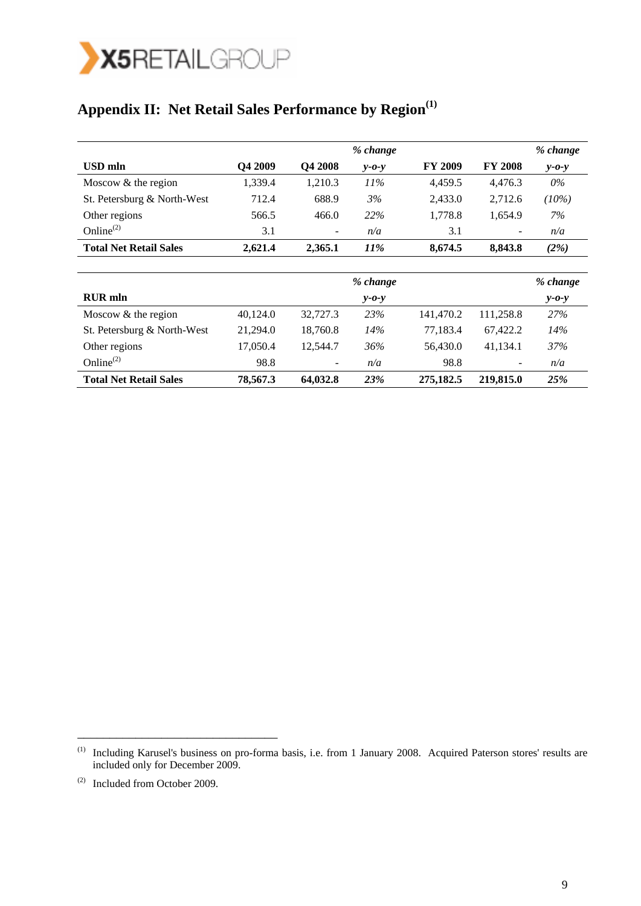

# **Appendix II: Net Retail Sales Performance by Region(1)**

|                               |          |          | % change        |                |                | % change    |
|-------------------------------|----------|----------|-----------------|----------------|----------------|-------------|
| USD mln                       | Q4 2009  | Q4 2008  | $v$ -0- $v$     | <b>FY 2009</b> | <b>FY 2008</b> | $y - 0 - y$ |
| Moscow $&$ the region         | 1,339.4  | 1,210.3  | $11\%$          | 4,459.5        | 4,476.3        | 0%          |
| St. Petersburg & North-West   | 712.4    | 688.9    | 3%              | 2,433.0        | 2,712.6        | $(10\%)$    |
| Other regions                 | 566.5    | 466.0    | 22%             | 1,778.8        | 1,654.9        | 7%          |
| Online $^{(2)}$               | 3.1      | -        | n/a             | 3.1            |                | n/a         |
| <b>Total Net Retail Sales</b> | 2,621.4  | 2,365.1  | 11%             | 8,674.5        | 8,843.8        | (2%)        |
|                               |          |          |                 |                |                |             |
|                               |          |          | % change        |                |                | % change    |
| <b>RUR</b> mln                |          |          | $v$ - $o$ - $v$ |                |                | $y - 0 - y$ |
| Moscow $&$ the region         | 40,124.0 | 32,727.3 | 23%             | 141,470.2      | 111,258.8      | 27%         |
| St. Petersburg & North-West   | 21,294.0 | 18,760.8 | 14%             | 77,183.4       | 67,422.2       | 14%         |
| Other regions                 | 17,050.4 | 12,544.7 | 36%             | 56,430.0       | 41,134.1       | 37%         |
| Online $^{(2)}$               | 98.8     | -        | n/a             | 98.8           |                | n/a         |
| <b>Total Net Retail Sales</b> | 78,567.3 | 64,032.8 | 23%             | 275,182.5      | 219,815.0      | 25%         |

\_\_\_\_\_\_\_\_\_\_\_\_\_\_\_\_\_\_\_\_\_\_\_\_\_\_\_\_\_\_\_

<sup>&</sup>lt;sup>(1)</sup> Including Karusel's business on pro-forma basis, i.e. from 1 January 2008. Acquired Paterson stores' results are included only for December 2009.

<sup>(2)</sup> Included from October 2009.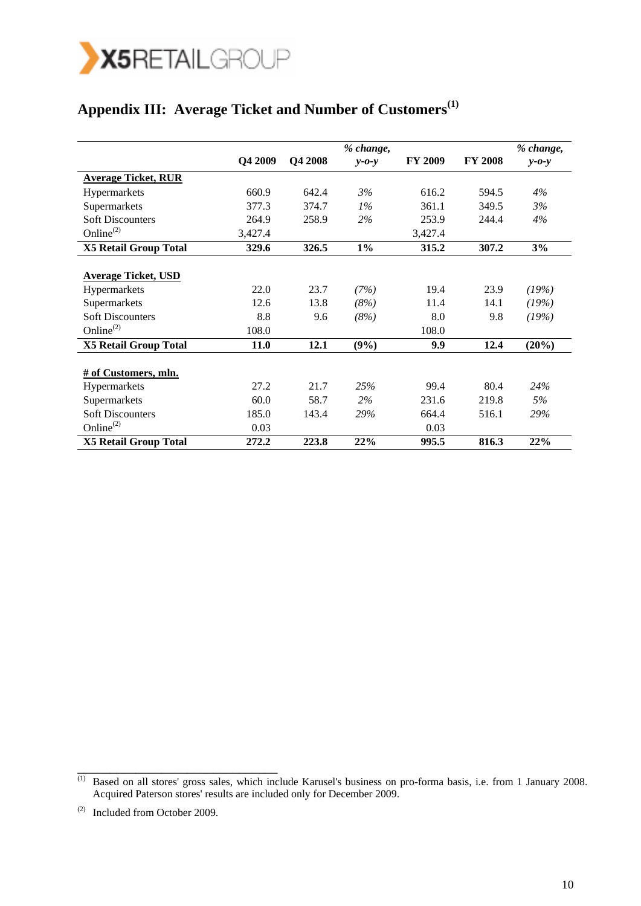

# **Appendix III: Average Ticket and Number of Customers(1)**

|                              | Q4 2009 | Q4 2008 | % change,   | <b>FY 2009</b> | <b>FY 2008</b> | % change,   |
|------------------------------|---------|---------|-------------|----------------|----------------|-------------|
|                              |         |         | $y - 0 - y$ |                |                | $v$ -0- $v$ |
| <b>Average Ticket, RUR</b>   |         |         |             |                |                |             |
| Hypermarkets                 | 660.9   | 642.4   | 3%          | 616.2          | 594.5          | 4%          |
| Supermarkets                 | 377.3   | 374.7   | $1\%$       | 361.1          | 349.5          | 3%          |
| <b>Soft Discounters</b>      | 264.9   | 258.9   | 2%          | 253.9          | 244.4          | 4%          |
| Online $^{(2)}$              | 3,427.4 |         |             | 3,427.4        |                |             |
| <b>X5 Retail Group Total</b> | 329.6   | 326.5   | $1\%$       | 315.2          | 307.2          | 3%          |
|                              |         |         |             |                |                |             |
| <b>Average Ticket, USD</b>   |         |         |             |                |                |             |
| <b>Hypermarkets</b>          | 22.0    | 23.7    | (7%)        | 19.4           | 23.9           | (19%)       |
| Supermarkets                 | 12.6    | 13.8    | (8%)        | 11.4           | 14.1           | (19%)       |
| <b>Soft Discounters</b>      | 8.8     | 9.6     | (8%)        | 8.0            | 9.8            | (19%)       |
| Online <sup>(2)</sup>        | 108.0   |         |             | 108.0          |                |             |
| <b>X5 Retail Group Total</b> | 11.0    | 12.1    | (9%)        | 9.9            | 12.4           | $(20\%)$    |
|                              |         |         |             |                |                |             |
| # of Customers, mln.         |         |         |             |                |                |             |
| <b>Hypermarkets</b>          | 27.2    | 21.7    | 25%         | 99.4           | 80.4           | 24%         |
| Supermarkets                 | 60.0    | 58.7    | $2\%$       | 231.6          | 219.8          | 5%          |
| <b>Soft Discounters</b>      | 185.0   | 143.4   | 29%         | 664.4          | 516.1          | 29%         |
| Online $^{(2)}$              | 0.03    |         |             | 0.03           |                |             |
| <b>X5 Retail Group Total</b> | 272.2   | 223.8   | 22%         | 995.5          | 816.3          | 22%         |

\_\_\_\_\_\_\_\_\_\_\_\_\_\_\_\_\_\_\_\_\_\_\_\_\_\_\_\_\_\_\_

<sup>&</sup>lt;sup>(1)</sup> Based on all stores' gross sales, which include Karusel's business on pro-forma basis, i.e. from 1 January 2008. Acquired Paterson stores' results are included only for December 2009.

<sup>(2)</sup> Included from October 2009.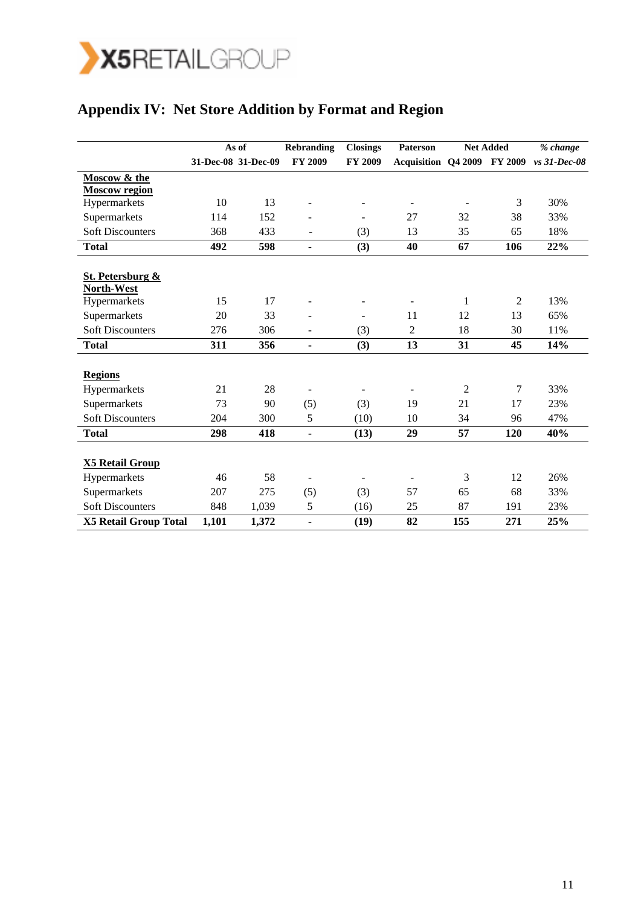

# **Appendix IV: Net Store Addition by Format and Region**

|                              |       | As of               | <b>Rebranding</b> | <b>Closings</b>          | Paterson                           |     | <b>Net Added</b> | % change       |
|------------------------------|-------|---------------------|-------------------|--------------------------|------------------------------------|-----|------------------|----------------|
|                              |       | 31-Dec-08 31-Dec-09 | FY 2009           | <b>FY 2009</b>           | <b>Acquisition Q4 2009 FY 2009</b> |     |                  | $vs$ 31-Dec-08 |
| Moscow & the                 |       |                     |                   |                          |                                    |     |                  |                |
| <b>Moscow region</b>         |       |                     |                   |                          |                                    |     |                  |                |
| Hypermarkets                 | 10    | 13                  |                   | $\sim$                   | $\overline{\phantom{a}}$           |     | 3                | 30%            |
| Supermarkets                 | 114   | 152                 |                   | $\equiv$                 | 27                                 | 32  | 38               | 33%            |
| <b>Soft Discounters</b>      | 368   | 433                 |                   | (3)                      | 13                                 | 35  | 65               | 18%            |
| <b>Total</b>                 | 492   | 598                 | $\blacksquare$    | (3)                      | 40                                 | 67  | 106              | 22%            |
|                              |       |                     |                   |                          |                                    |     |                  |                |
| St. Petersburg &             |       |                     |                   |                          |                                    |     |                  |                |
| North-West                   |       |                     |                   |                          |                                    |     |                  |                |
| Hypermarkets                 | 15    | 17                  |                   |                          | $\overline{\phantom{a}}$           | 1   | $\overline{c}$   | 13%            |
| Supermarkets                 | 20    | 33                  |                   | $\overline{\phantom{a}}$ | 11                                 | 12  | 13               | 65%            |
| <b>Soft Discounters</b>      | 276   | 306                 |                   | (3)                      | $\overline{2}$                     | 18  | 30               | 11%            |
| <b>Total</b>                 | 311   | 356                 | $\blacksquare$    | (3)                      | 13                                 | 31  | 45               | 14%            |
|                              |       |                     |                   |                          |                                    |     |                  |                |
| <b>Regions</b>               |       |                     |                   |                          |                                    |     |                  |                |
| Hypermarkets                 | 21    | 28                  |                   |                          | $\overline{\phantom{a}}$           | 2   | 7                | 33%            |
| Supermarkets                 | 73    | 90                  | (5)               | (3)                      | 19                                 | 21  | 17               | 23%            |
| <b>Soft Discounters</b>      | 204   | 300                 | 5                 | (10)                     | 10                                 | 34  | 96               | 47%            |
| <b>Total</b>                 | 298   | 418                 | $\blacksquare$    | (13)                     | 29                                 | 57  | 120              | 40%            |
|                              |       |                     |                   |                          |                                    |     |                  |                |
| <b>X5 Retail Group</b>       |       |                     |                   |                          |                                    |     |                  |                |
| Hypermarkets                 | 46    | 58                  |                   |                          |                                    | 3   | 12               | 26%            |
| Supermarkets                 | 207   | 275                 | (5)               | (3)                      | 57                                 | 65  | 68               | 33%            |
| <b>Soft Discounters</b>      | 848   | 1,039               | 5                 | (16)                     | 25                                 | 87  | 191              | 23%            |
| <b>X5 Retail Group Total</b> | 1,101 | 1,372               | $\frac{1}{2}$     | (19)                     | 82                                 | 155 | 271              | 25%            |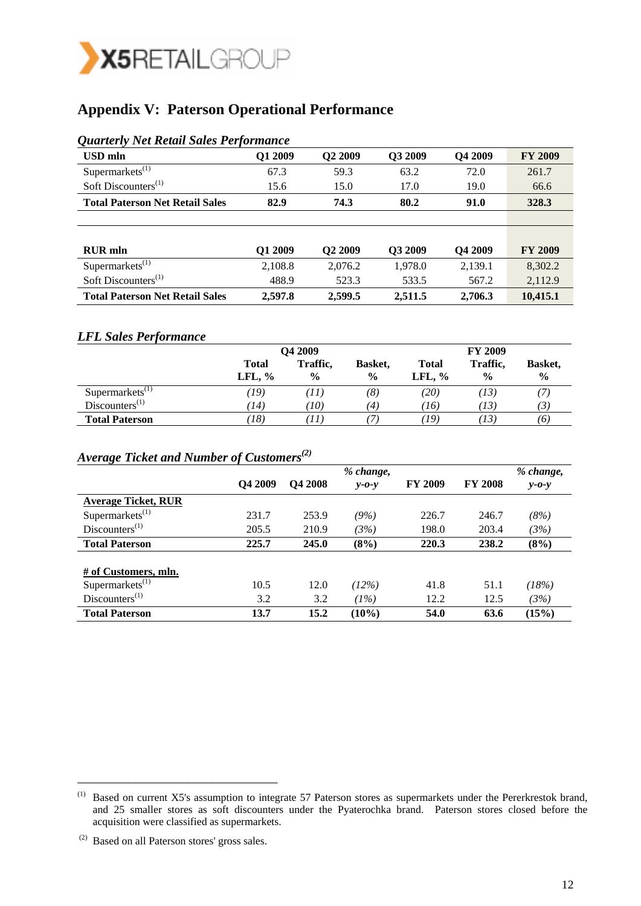

# **Appendix V: Paterson Operational Performance**

| Quarterly Net Retail Sales Performance |         |                     |         |         |                |
|----------------------------------------|---------|---------------------|---------|---------|----------------|
| <b>USD</b> mln                         | Q1 2009 | Q <sub>2</sub> 2009 | Q3 2009 | Q4 2009 | <b>FY 2009</b> |
| Supermarkets $^{(1)}$                  | 67.3    | 59.3                | 63.2    | 72.0    | 261.7          |
| Soft Discounters $^{(1)}$              | 15.6    | 15.0                | 17.0    | 19.0    | 66.6           |
| <b>Total Paterson Net Retail Sales</b> | 82.9    | 74.3                | 80.2    | 91.0    | 328.3          |
|                                        |         |                     |         |         |                |
|                                        |         |                     |         |         |                |
| <b>RUR</b> mln                         | Q1 2009 | Q <sub>2</sub> 2009 | Q3 2009 | Q4 2009 | <b>FY 2009</b> |
| Supermarkets $^{(1)}$                  | 2,108.8 | 2,076.2             | 1,978.0 | 2,139.1 | 8,302.2        |
| Soft Discounters $^{(1)}$              | 488.9   | 523.3               | 533.5   | 567.2   | 2,112.9        |
| <b>Total Paterson Net Retail Sales</b> | 2.597.8 | 2,599.5             | 2.511.5 | 2.706.3 | 10,415.1       |

### *Quarterly Net Retail Sales Performance*

#### *LFL Sales Performance*

|                           | Q4 2009                   | <b>FY 2009</b>            |                          |                           |                           |                          |
|---------------------------|---------------------------|---------------------------|--------------------------|---------------------------|---------------------------|--------------------------|
|                           | <b>Total</b><br>LFL, $\%$ | Traffic,<br>$\frac{0}{0}$ | Basket,<br>$\frac{6}{9}$ | <b>Total</b><br>LFL, $\%$ | Traffic,<br>$\frac{6}{9}$ | Basket,<br>$\frac{0}{0}$ |
| Supermarks <sup>(1)</sup> | (19)                      | (11)                      | (8)                      | (20)                      | (13)                      |                          |
| $Discussioneters^{(1)}$   | (14)                      | TO)                       | (4)                      | 76)                       | (13)                      | $\mathfrak{B}$           |
| <b>Total Paterson</b>     | $\langle 18 \rangle$      | ΊI                        |                          | 19)                       | 73)                       | 16.                      |

### *Average Ticket and Number of Customers(2)*

|                              |                     |                | % change,   |                |                | % change,   |
|------------------------------|---------------------|----------------|-------------|----------------|----------------|-------------|
|                              | O <sub>4</sub> 2009 | <b>O4 2008</b> | $v$ -0- $v$ | <b>FY 2009</b> | <b>FY 2008</b> | $y - 0 - y$ |
| <b>Average Ticket, RUR</b>   |                     |                |             |                |                |             |
| Supermarkets $^{(1)}$        | 231.7               | 253.9          | (9%)        | 226.7          | 246.7          | (8%)        |
| $Discussioneters^{(1)}$      | 205.5               | 210.9          | (3%)        | 198.0          | 203.4          | (3%)        |
| <b>Total Paterson</b>        | 225.7               | 245.0          | (8%)        | 220.3          | 238.2          | (8%)        |
|                              |                     |                |             |                |                |             |
| # of Customers, mln.         |                     |                |             |                |                |             |
| Supermarkets $^{(1)}$        | 10.5                | 12.0           | (12%)       | 41.8           | 51.1           | (18%)       |
| $Discounters$ <sup>(1)</sup> | 3.2                 | 3.2            | (1%)        | 12.2           | 12.5           | (3%)        |
| <b>Total Paterson</b>        | 13.7                | 15.2           | $(10\%)$    | 54.0           | 63.6           | (15%)       |

\_\_\_\_\_\_\_\_\_\_\_\_\_\_\_\_\_\_\_\_\_\_\_\_\_\_\_\_\_\_\_

 $<sup>(1)</sup>$  Based on current X5's assumption to integrate 57 Paterson stores as supermarkets under the Pererkrestok brand,</sup> and 25 smaller stores as soft discounters under the Pyaterochka brand. Paterson stores closed before the acquisition were classified as supermarkets.

 <sup>(2)</sup> Based on all Paterson stores' gross sales.